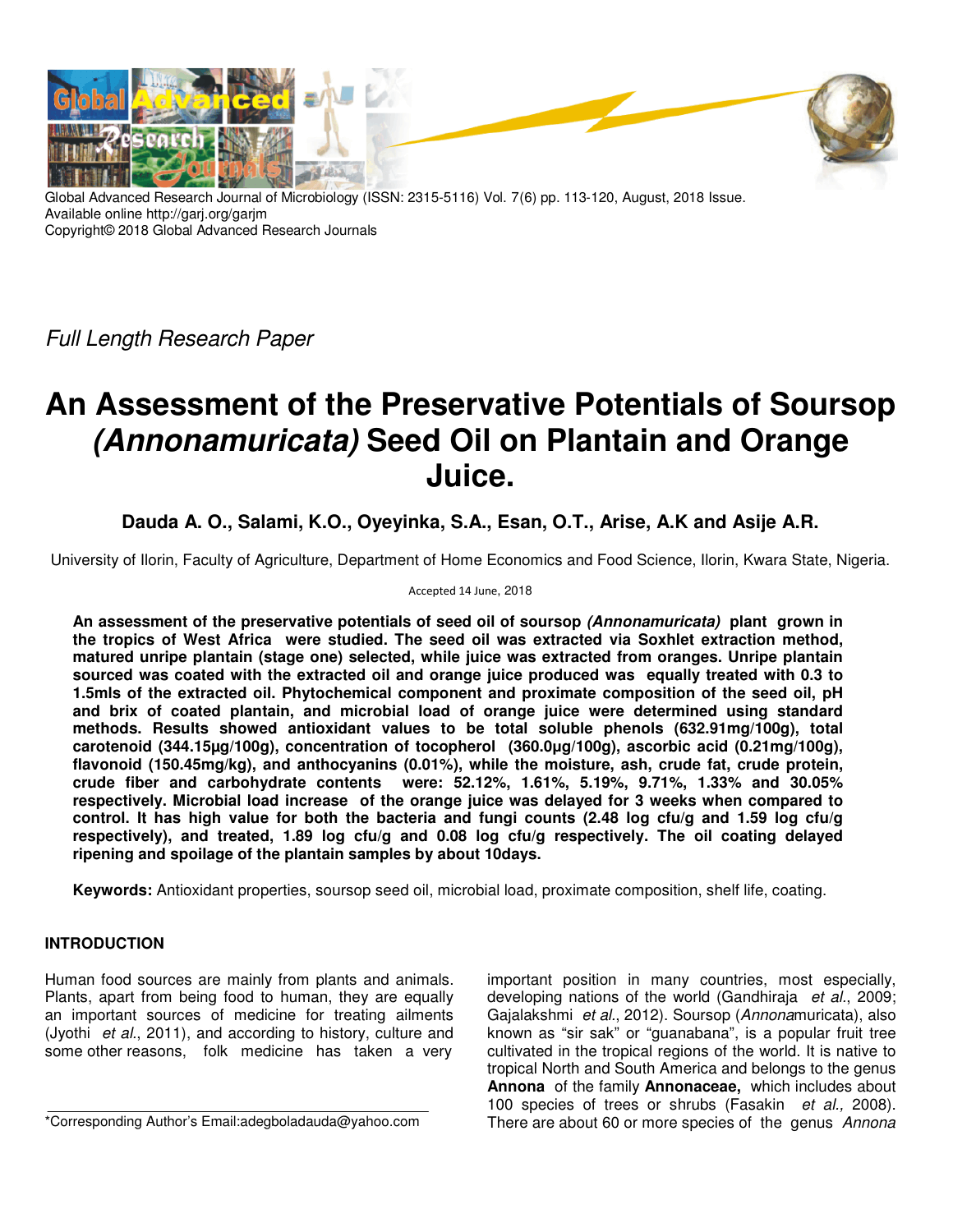

Global Advanced Research Journal of Microbiology (ISSN: 2315-5116) Vol. 7(6) pp. 113-120, August, 2018 Issue. Available online http://garj.org/garjm Copyright© 2018 Global Advanced Research Journals

Full Length Research Paper

# **An Assessment of the Preservative Potentials of Soursop (Annonamuricata) Seed Oil on Plantain and Orange Juice.**

## **Dauda A. O., Salami, K.O., Oyeyinka, S.A., Esan, O.T., Arise, A.K and Asije A.R.**

University of Ilorin, Faculty of Agriculture, Department of Home Economics and Food Science, Ilorin, Kwara State, Nigeria.

#### Accepted 14 June, 2018

**An assessment of the preservative potentials of seed oil of soursop (Annonamuricata) plant grown in the tropics of West Africa were studied. The seed oil was extracted via Soxhlet extraction method, matured unripe plantain (stage one) selected, while juice was extracted from oranges. Unripe plantain sourced was coated with the extracted oil and orange juice produced was equally treated with 0.3 to 1.5mls of the extracted oil. Phytochemical component and proximate composition of the seed oil, pH and brix of coated plantain, and microbial load of orange juice were determined using standard methods. Results showed antioxidant values to be total soluble phenols (632.91mg/100g), total carotenoid (344.15µg/100g), concentration of tocopherol (360.0µg/100g), ascorbic acid (0.21mg/100g), flavonoid (150.45mg/kg), and anthocyanins (0.01%), while the moisture, ash, crude fat, crude protein, crude fiber and carbohydrate contents were: 52.12%, 1.61%, 5.19%, 9.71%, 1.33% and 30.05% respectively. Microbial load increase of the orange juice was delayed for 3 weeks when compared to control. It has high value for both the bacteria and fungi counts (2.48 log cfu/g and 1.59 log cfu/g respectively), and treated, 1.89 log cfu/g and 0.08 log cfu/g respectively. The oil coating delayed ripening and spoilage of the plantain samples by about 10days.** 

**Keywords:** Antioxidant properties, soursop seed oil, microbial load, proximate composition, shelf life, coating.

## **INTRODUCTION**

Human food sources are mainly from plants and animals. Plants, apart from being food to human, they are equally an important sources of medicine for treating ailments (Jyothi et al., 2011), and according to history, culture and some other reasons, folk medicine has taken a very

\*Corresponding Author's Email:adegboladauda@yahoo.com

important position in many countries, most especially, developing nations of the world (Gandhiraja et al., 2009; Gajalakshmi et al., 2012). Soursop (Annonamuricata), also known as "sir sak" or "guanabana", is a popular fruit tree cultivated in the tropical regions of the world. It is native to tropical North and South America and belongs to the genus **Annona** of the family **Annonaceae,** which includes about 100 species of trees or shrubs (Fasakin et al., 2008). There are about 60 or more species of the genus Annona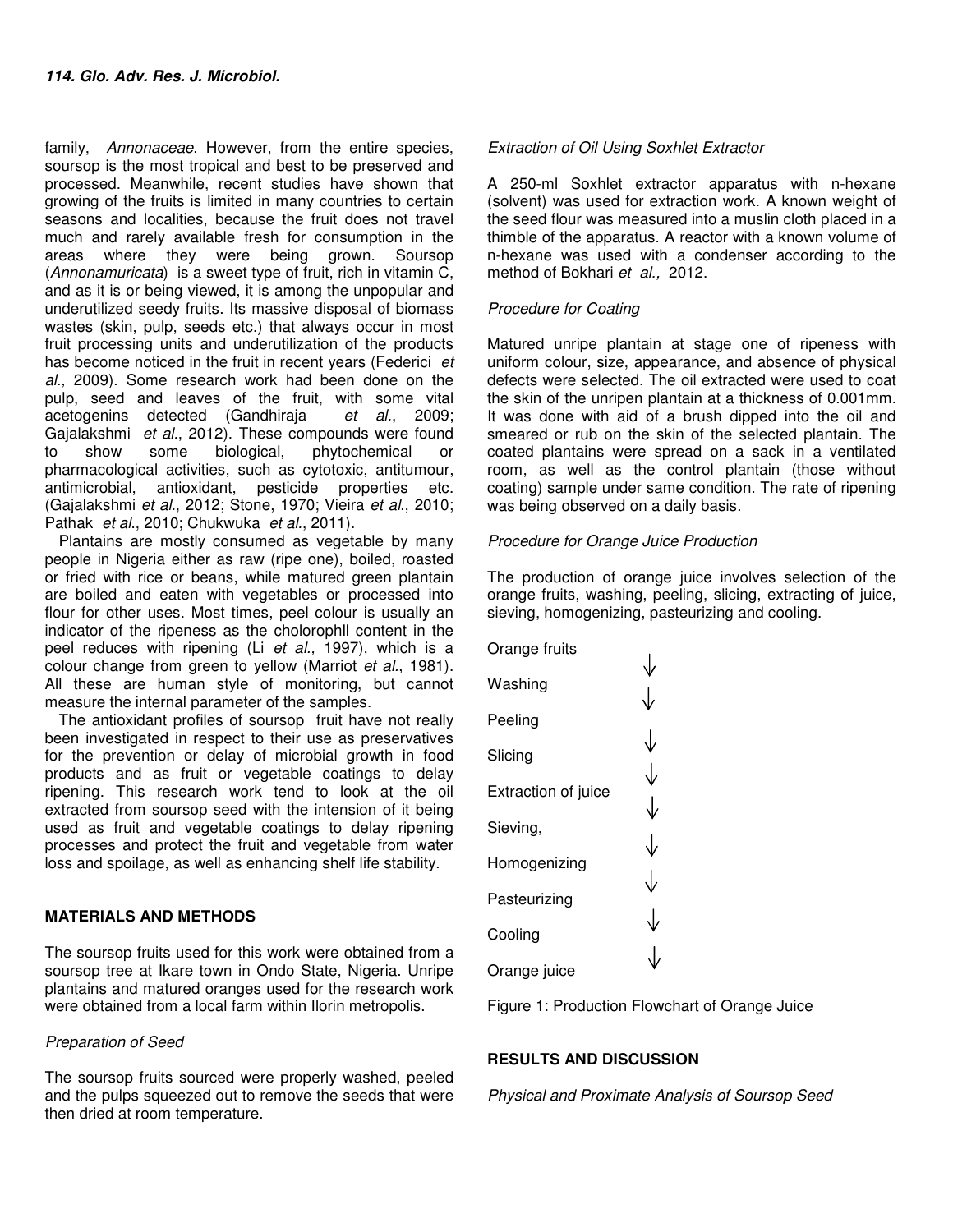family, Annonaceae. However, from the entire species, soursop is the most tropical and best to be preserved and processed. Meanwhile, recent studies have shown that growing of the fruits is limited in many countries to certain seasons and localities, because the fruit does not travel much and rarely available fresh for consumption in the areas where they were being grown. Soursop (Annonamuricata) is a sweet type of fruit, rich in vitamin C, and as it is or being viewed, it is among the unpopular and underutilized seedy fruits. Its massive disposal of biomass wastes (skin, pulp, seeds etc.) that always occur in most fruit processing units and underutilization of the products has become noticed in the fruit in recent years (Federici et al., 2009). Some research work had been done on the pulp, seed and leaves of the fruit, with some vital acetogenins detected (Gandhiraja et al., 2009; Gajalakshmi et al., 2012). These compounds were found to show some biological, phytochemical or pharmacological activities, such as cytotoxic, antitumour, antimicrobial, antioxidant, pesticide properties etc. (Gajalakshmi et al., 2012; Stone, 1970; Vieira et al., 2010; Pathak et al., 2010; Chukwuka et al., 2011).

Plantains are mostly consumed as vegetable by many people in Nigeria either as raw (ripe one), boiled, roasted or fried with rice or beans, while matured green plantain are boiled and eaten with vegetables or processed into flour for other uses. Most times, peel colour is usually an indicator of the ripeness as the cholorophll content in the peel reduces with ripening (Li et al., 1997), which is a colour change from green to yellow (Marriot et al., 1981). All these are human style of monitoring, but cannot measure the internal parameter of the samples.

The antioxidant profiles of soursop fruit have not really been investigated in respect to their use as preservatives for the prevention or delay of microbial growth in food products and as fruit or vegetable coatings to delay ripening. This research work tend to look at the oil extracted from soursop seed with the intension of it being used as fruit and vegetable coatings to delay ripening processes and protect the fruit and vegetable from water loss and spoilage, as well as enhancing shelf life stability.

## **MATERIALS AND METHODS**

The soursop fruits used for this work were obtained from a soursop tree at Ikare town in Ondo State, Nigeria. Unripe plantains and matured oranges used for the research work were obtained from a local farm within Ilorin metropolis.

#### Preparation of Seed

The soursop fruits sourced were properly washed, peeled and the pulps squeezed out to remove the seeds that were then dried at room temperature.

#### Extraction of Oil Using Soxhlet Extractor

A 250-ml Soxhlet extractor apparatus with n-hexane (solvent) was used for extraction work. A known weight of the seed flour was measured into a muslin cloth placed in a thimble of the apparatus. A reactor with a known volume of n-hexane was used with a condenser according to the method of Bokhari et al., 2012.

## Procedure for Coating

Matured unripe plantain at stage one of ripeness with uniform colour, size, appearance, and absence of physical defects were selected. The oil extracted were used to coat the skin of the unripen plantain at a thickness of 0.001mm. It was done with aid of a brush dipped into the oil and smeared or rub on the skin of the selected plantain. The coated plantains were spread on a sack in a ventilated room, as well as the control plantain (those without coating) sample under same condition. The rate of ripening was being observed on a daily basis.

## Procedure for Orange Juice Production

The production of orange juice involves selection of the orange fruits, washing, peeling, slicing, extracting of juice, sieving, homogenizing, pasteurizing and cooling.

| Orange fruits       |              |
|---------------------|--------------|
| Washing             |              |
| Peeling             |              |
| Slicing             | ↓            |
| Extraction of juice | ↓            |
| Sieving,            | ↓            |
| Homogenizing        | ↓            |
| Pasteurizing        | ↓            |
| Cooling             | $\downarrow$ |
| Orange juice        |              |

Figure 1: Production Flowchart of Orange Juice

## **RESULTS AND DISCUSSION**

Physical and Proximate Analysis of Soursop Seed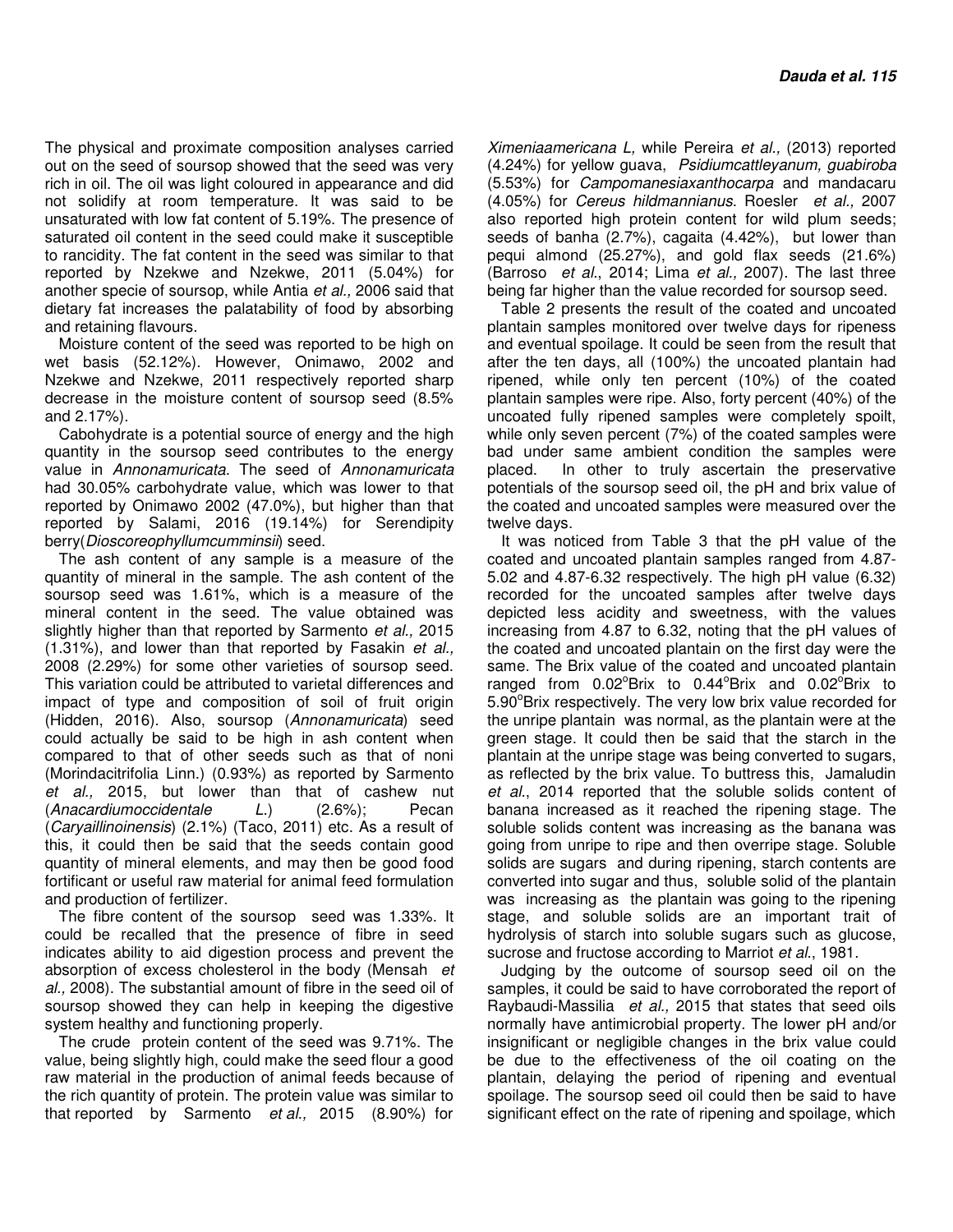The physical and proximate composition analyses carried out on the seed of soursop showed that the seed was very rich in oil. The oil was light coloured in appearance and did not solidify at room temperature. It was said to be unsaturated with low fat content of 5.19%. The presence of saturated oil content in the seed could make it susceptible to rancidity. The fat content in the seed was similar to that reported by Nzekwe and Nzekwe, 2011 (5.04%) for another specie of soursop, while Antia et al., 2006 said that dietary fat increases the palatability of food by absorbing and retaining flavours.

Moisture content of the seed was reported to be high on wet basis (52.12%). However, Onimawo, 2002 and Nzekwe and Nzekwe, 2011 respectively reported sharp decrease in the moisture content of soursop seed (8.5% and 2.17%).

Cabohydrate is a potential source of energy and the high quantity in the soursop seed contributes to the energy value in Annonamuricata. The seed of Annonamuricata had 30.05% carbohydrate value, which was lower to that reported by Onimawo 2002 (47.0%), but higher than that reported by Salami, 2016 (19.14%) for Serendipity berry(Dioscoreophyllumcumminsii) seed.

The ash content of any sample is a measure of the quantity of mineral in the sample. The ash content of the soursop seed was 1.61%, which is a measure of the mineral content in the seed. The value obtained was slightly higher than that reported by Sarmento et al., 2015 (1.31%), and lower than that reported by Fasakin et al., 2008 (2.29%) for some other varieties of soursop seed. This variation could be attributed to varietal differences and impact of type and composition of soil of fruit origin (Hidden, 2016). Also, soursop (Annonamuricata) seed could actually be said to be high in ash content when compared to that of other seeds such as that of noni (Morindacitrifolia Linn.) (0.93%) as reported by Sarmento et al., 2015, but lower than that of cashew nut (Anacardiumoccidentale L.) (2.6%); Pecan (Caryaillinoinensis) (2.1%) (Taco, 2011) etc. As a result of this, it could then be said that the seeds contain good quantity of mineral elements, and may then be good food fortificant or useful raw material for animal feed formulation and production of fertilizer.

The fibre content of the soursop seed was 1.33%. It could be recalled that the presence of fibre in seed indicates ability to aid digestion process and prevent the absorption of excess cholesterol in the body (Mensah et al., 2008). The substantial amount of fibre in the seed oil of soursop showed they can help in keeping the digestive system healthy and functioning properly.

The crude protein content of the seed was 9.71%. The value, being slightly high, could make the seed flour a good raw material in the production of animal feeds because of the rich quantity of protein. The protein value was similar to that reported by Sarmento et al., 2015 (8.90%) for

Ximeniaamericana L, while Pereira et al., (2013) reported (4.24%) for yellow guava, Psidiumcattleyanum, guabiroba (5.53%) for Campomanesiaxanthocarpa and mandacaru (4.05%) for Cereus hildmannianus. Roesler et al., 2007 also reported high protein content for wild plum seeds; seeds of banha (2.7%), cagaita (4.42%), but lower than pequi almond (25.27%), and gold flax seeds (21.6%) (Barroso et al., 2014; Lima et al., 2007). The last three being far higher than the value recorded for soursop seed.

Table 2 presents the result of the coated and uncoated plantain samples monitored over twelve days for ripeness and eventual spoilage. It could be seen from the result that after the ten days, all (100%) the uncoated plantain had ripened, while only ten percent (10%) of the coated plantain samples were ripe. Also, forty percent (40%) of the uncoated fully ripened samples were completely spoilt, while only seven percent (7%) of the coated samples were bad under same ambient condition the samples were placed. In other to truly ascertain the preservative potentials of the soursop seed oil, the pH and brix value of the coated and uncoated samples were measured over the twelve days.

It was noticed from Table 3 that the pH value of the coated and uncoated plantain samples ranged from 4.87- 5.02 and 4.87-6.32 respectively. The high pH value (6.32) recorded for the uncoated samples after twelve days depicted less acidity and sweetness, with the values increasing from 4.87 to 6.32, noting that the pH values of the coated and uncoated plantain on the first day were the same. The Brix value of the coated and uncoated plantain ranged from 0.02°Brix to 0.44°Brix and 0.02°Brix to 5.90°Brix respectively. The very low brix value recorded for the unripe plantain was normal, as the plantain were at the green stage. It could then be said that the starch in the plantain at the unripe stage was being converted to sugars, as reflected by the brix value. To buttress this, Jamaludin et al., 2014 reported that the soluble solids content of banana increased as it reached the ripening stage. The soluble solids content was increasing as the banana was going from unripe to ripe and then overripe stage. Soluble solids are sugars and during ripening, starch contents are converted into sugar and thus, soluble solid of the plantain was increasing as the plantain was going to the ripening stage, and soluble solids are an important trait of hydrolysis of starch into soluble sugars such as glucose, sucrose and fructose according to Marriot *et al.*, 1981.

Judging by the outcome of soursop seed oil on the samples, it could be said to have corroborated the report of Raybaudi-Massilia et al., 2015 that states that seed oils normally have antimicrobial property. The lower pH and/or insignificant or negligible changes in the brix value could be due to the effectiveness of the oil coating on the plantain, delaying the period of ripening and eventual spoilage. The soursop seed oil could then be said to have significant effect on the rate of ripening and spoilage, which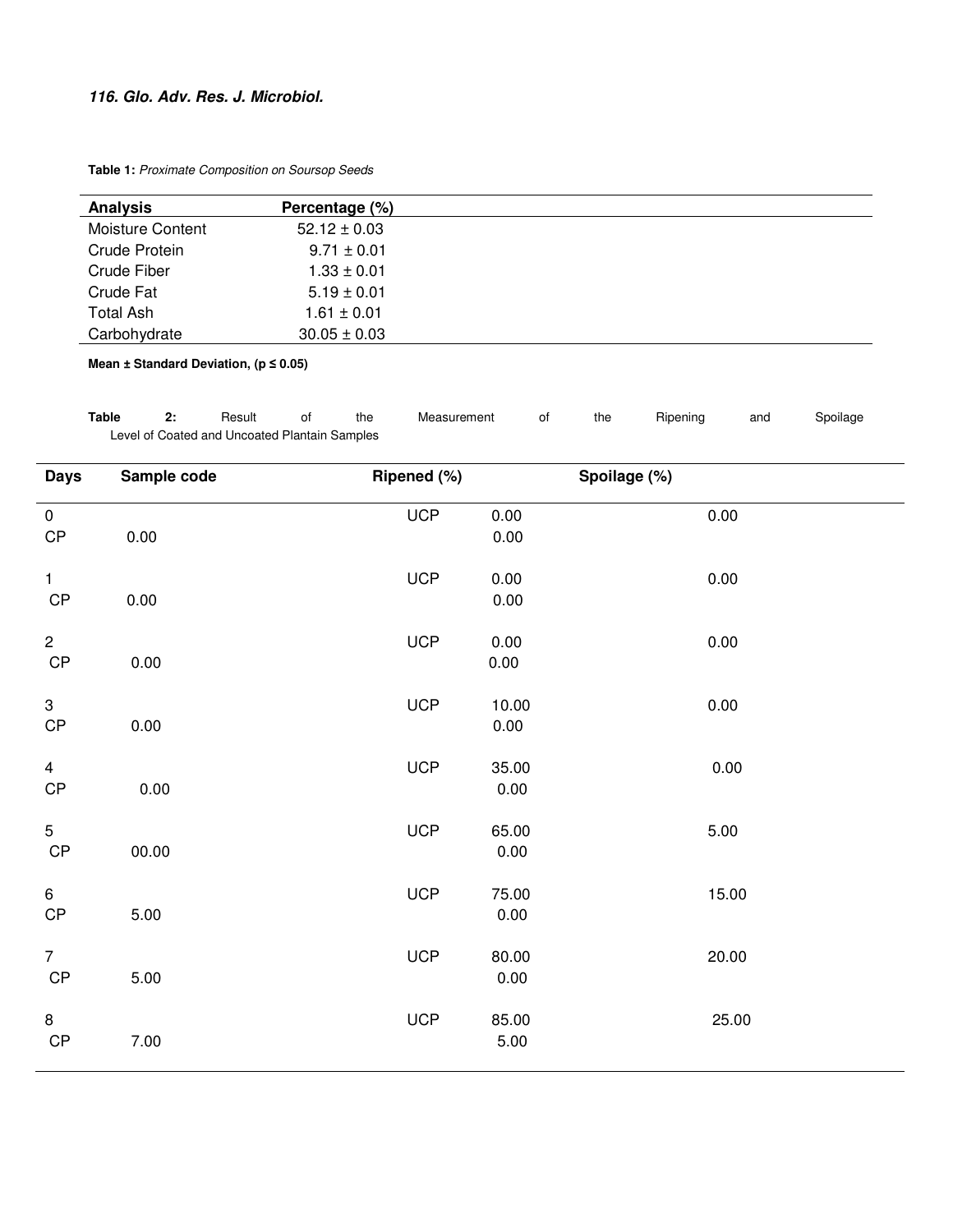## **116. Glo. Adv. Res. J. Microbiol.**

**Table 1:** Proximate Composition on Soursop Seeds

| <b>Analysis</b>  | Percentage (%)   |
|------------------|------------------|
| Moisture Content | $52.12 \pm 0.03$ |
| Crude Protein    | $9.71 \pm 0.01$  |
| Crude Fiber      | $1.33 \pm 0.01$  |
| Crude Fat        | $5.19 \pm 0.01$  |
| Total Ash        | $1.61 \pm 0.01$  |
| Carbohydrate     | $30.05 \pm 0.03$ |

**Mean ± Standard Deviation, (p ≤ 0.05)** 

| Table | Result                                        | the | Measurement | the | Ripening | and | Spoilage |
|-------|-----------------------------------------------|-----|-------------|-----|----------|-----|----------|
|       | Level of Coated and Uncoated Plantain Samples |     |             |     |          |     |          |

| <b>Days</b>                     | Sample code | Ripened (%) |                   | Spoilage (%) |
|---------------------------------|-------------|-------------|-------------------|--------------|
| $\mathbf 0$<br>$\mathsf{CP}$    | 0.00        | <b>UCP</b>  | 0.00<br>0.00      | 0.00         |
| $\mathbf{1}$<br>$\mathsf{CP}$   | 0.00        | <b>UCP</b>  | 0.00<br>0.00      | 0.00         |
| $\mathbf{2}$<br>$\mathsf{CP}$   | 0.00        | <b>UCP</b>  | 0.00<br>0.00      | 0.00         |
| $\mathbf{3}$<br>$\mathsf{CP}$   | 0.00        | <b>UCP</b>  | 10.00<br>$0.00\,$ | 0.00         |
| $\overline{4}$<br>$\mathsf{CP}$ | 0.00        | <b>UCP</b>  | 35.00<br>0.00     | 0.00         |
| 5<br>$\mathsf{CP}$              | 00.00       | <b>UCP</b>  | 65.00<br>0.00     | 5.00         |
| 6<br>$\mathsf{CP}$              | 5.00        | <b>UCP</b>  | 75.00<br>0.00     | 15.00        |
| $\overline{7}$<br>CP            | 5.00        | <b>UCP</b>  | 80.00<br>0.00     | 20.00        |
| 8<br>CP                         | 7.00        | <b>UCP</b>  | 85.00<br>5.00     | 25.00        |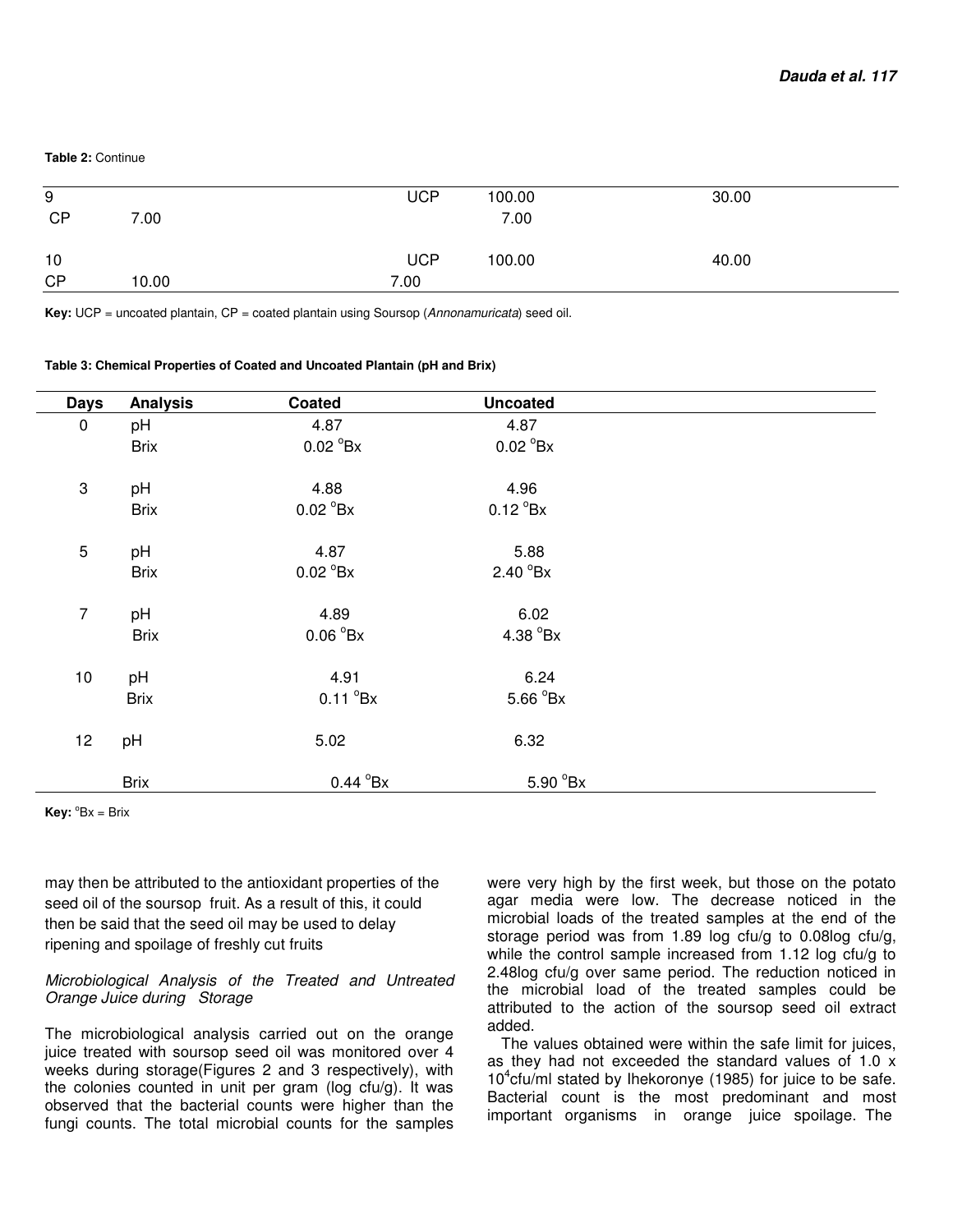#### **Table 2:** Continue

| 9<br><b>CP</b>  | 7.00  | <b>UCP</b>         | 100.00<br>7.00 | 30.00 |
|-----------------|-------|--------------------|----------------|-------|
| 10<br><b>CP</b> | 10.00 | <b>UCP</b><br>7.00 | 100.00         | 40.00 |

**Key:** UCP = uncoated plantain, CP = coated plantain using Soursop (Annonamuricata) seed oil.

| <b>Days</b>               | <b>Analysis</b> | Coated                    | <b>Uncoated</b>    |  |
|---------------------------|-----------------|---------------------------|--------------------|--|
| $\pmb{0}$                 | pH              | 4.87                      | 4.87               |  |
|                           | <b>Brix</b>     | $0.02 \text{ }^{\circ}Bx$ | $0.02^{\circ}$ Bx  |  |
| $\ensuremath{\mathsf{3}}$ | pH              | 4.88                      | 4.96               |  |
|                           | <b>Brix</b>     | $0.02 \text{ }^{\circ}Bx$ | $0.12^{\circ}$ Bx  |  |
| $\mathbf 5$               | pH              | 4.87                      | 5.88               |  |
|                           | <b>Brix</b>     | $0.02 \text{ }^{\circ}Bx$ | $2.40^{\circ}$ Bx  |  |
| $\overline{7}$            | pH              | 4.89                      | 6.02               |  |
|                           | <b>Brix</b>     | 0.06 <sup>o</sup> Bx      | 4.38 $^{\circ}$ Bx |  |
| 10                        | pH              | 4.91                      | 6.24               |  |
|                           | <b>Brix</b>     | $0.11^{\circ}$ Bx         | 5.66 °Bx           |  |
| 12                        | pH              | 5.02                      | 6.32               |  |
|                           | <b>Brix</b>     | $0.44^{\circ}$ Bx         | 5.90 °Bx           |  |

**Key:**  ${}^{\circ}Bx = Brix$ 

may then be attributed to the antioxidant properties of the seed oil of the soursop fruit. As a result of this, it could then be said that the seed oil may be used to delay ripening and spoilage of freshly cut fruits

#### Microbiological Analysis of the Treated and Untreated Orange Juice during Storage

The microbiological analysis carried out on the orange juice treated with soursop seed oil was monitored over 4 weeks during storage(Figures 2 and 3 respectively), with the colonies counted in unit per gram (log cfu/g). It was observed that the bacterial counts were higher than the fungi counts. The total microbial counts for the samples

were very high by the first week, but those on the potato agar media were low. The decrease noticed in the microbial loads of the treated samples at the end of the storage period was from 1.89 log cfu/g to 0.08log cfu/g, while the control sample increased from 1.12 log cfu/g to 2.48log cfu/g over same period. The reduction noticed in the microbial load of the treated samples could be attributed to the action of the soursop seed oil extract added.

The values obtained were within the safe limit for juices, as they had not exceeded the standard values of 1.0 x  $10^4$ cfu/ml stated by Ihekoronye (1985) for juice to be safe. Bacterial count is the most predominant and most important organisms in orange juice spoilage. The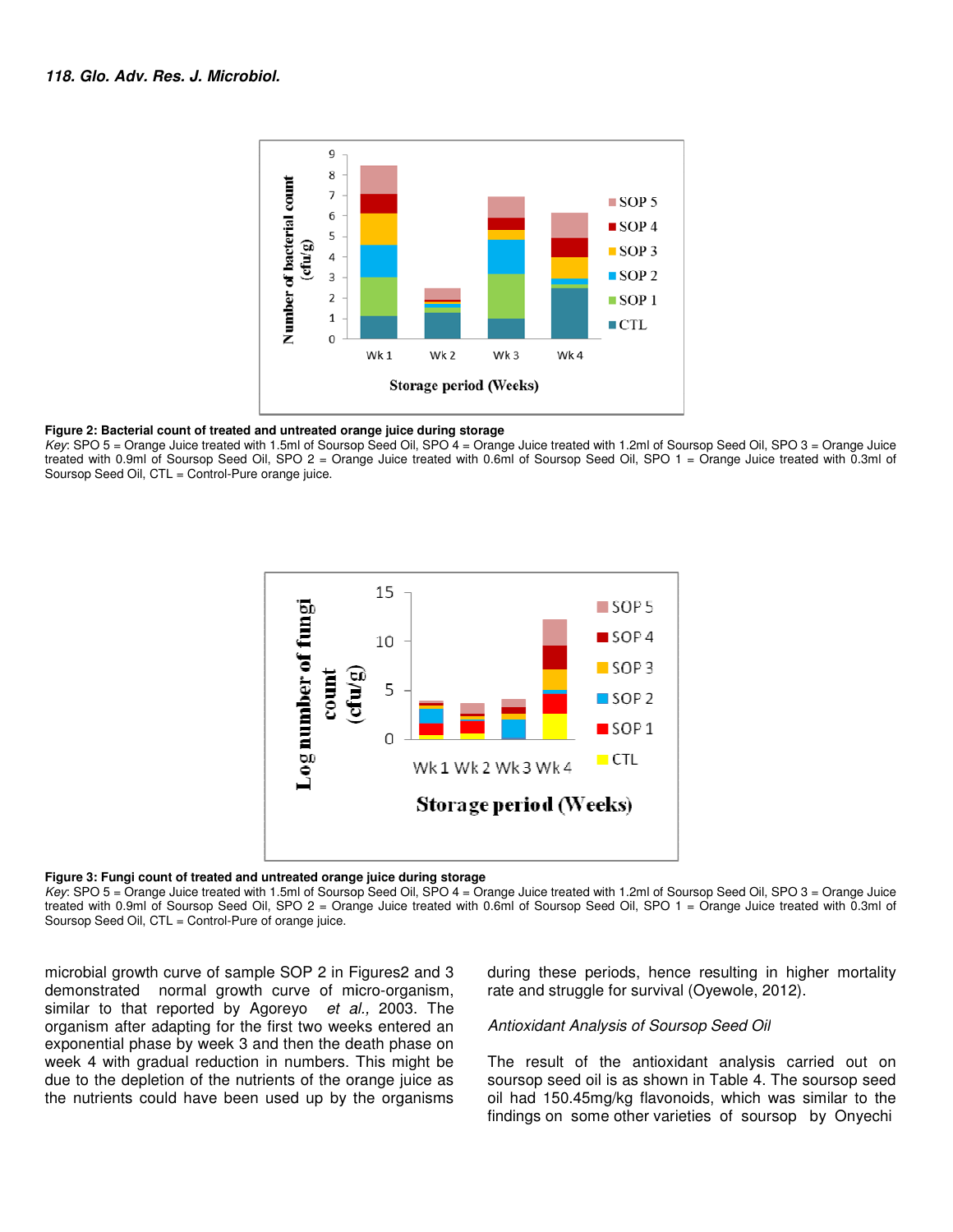

#### **Figure 2: Bacterial count of treated and untreated orange juice during storage**

Key: SPO 5 = Orange Juice treated with 1.5ml of Soursop Seed Oil, SPO 4 = Orange Juice treated with 1.2ml of Soursop Seed Oil, SPO 3 = Orange Juice Key: SPO 5 = Orange Juice treated with 1.5ml of Soursop Seed Oil, SPO 4 = Orange Juice treated with 1.2ml of Soursop Seed Oil, SPO 3 = Orange Juice<br>treated with 0.9ml of Soursop Seed Oil, SPO 2 = Orange Juice treated with Soursop Seed Oil, CTL = Control-Pure orange juice.



#### **Figure 3: Fungi count of treated and untreated orange juice during storage and**

Key: SPO 5 = Orange Juice treated with 1.5ml of Soursop Seed Oil, SPO 4 = Orange Juice treated with 1.2ml of Soursop Seed Oil, SPO 3 = Orange Juice treated with 0.9ml of Soursop Seed Oil, SPO 2 = Orange Juice treated with 0.6ml of Soursop Seed Oil, SPO 1 = Orange Juice tre Soursop Seed Oil, CTL = Control-Pure of orange juice.

microbial growth curve of sample SOP 2 in F Figures2 and 3 demonstrated normal growth curve of micro-organism, similar to that reported by Agoreyo et al., 2003. The organism after adapting for the first two weeks entered an exponential phase by week 3 and then the death phase on week 4 with gradual reduction in numbers. This might be due to the depletion of the nutrients of the orange juice as the nutrients could have been used up by the organisms bial growth curve of sample SOP 2 in Figures2 and 3 during these periods, hence resulting in strated normal growth curve of micro-organism, rate and struggle for survival (Oyewole, 20<br>
to that reported by Agoreyo *et al.*,

rate and struggle for survival (Oyewole, 2012). during these periods, hence resulting in higher mortality

#### Antioxidant Analysis of Soursop Seed Oil

The result of the antioxidant analysis carried out on The result of the antioxidant analysis carried out on<br>soursop seed oil is as shown in Table 4. The soursop seed oil had 150.45mg/kg flavonoids, , which was similar to the findings on some other varieties of soursop by Onyechi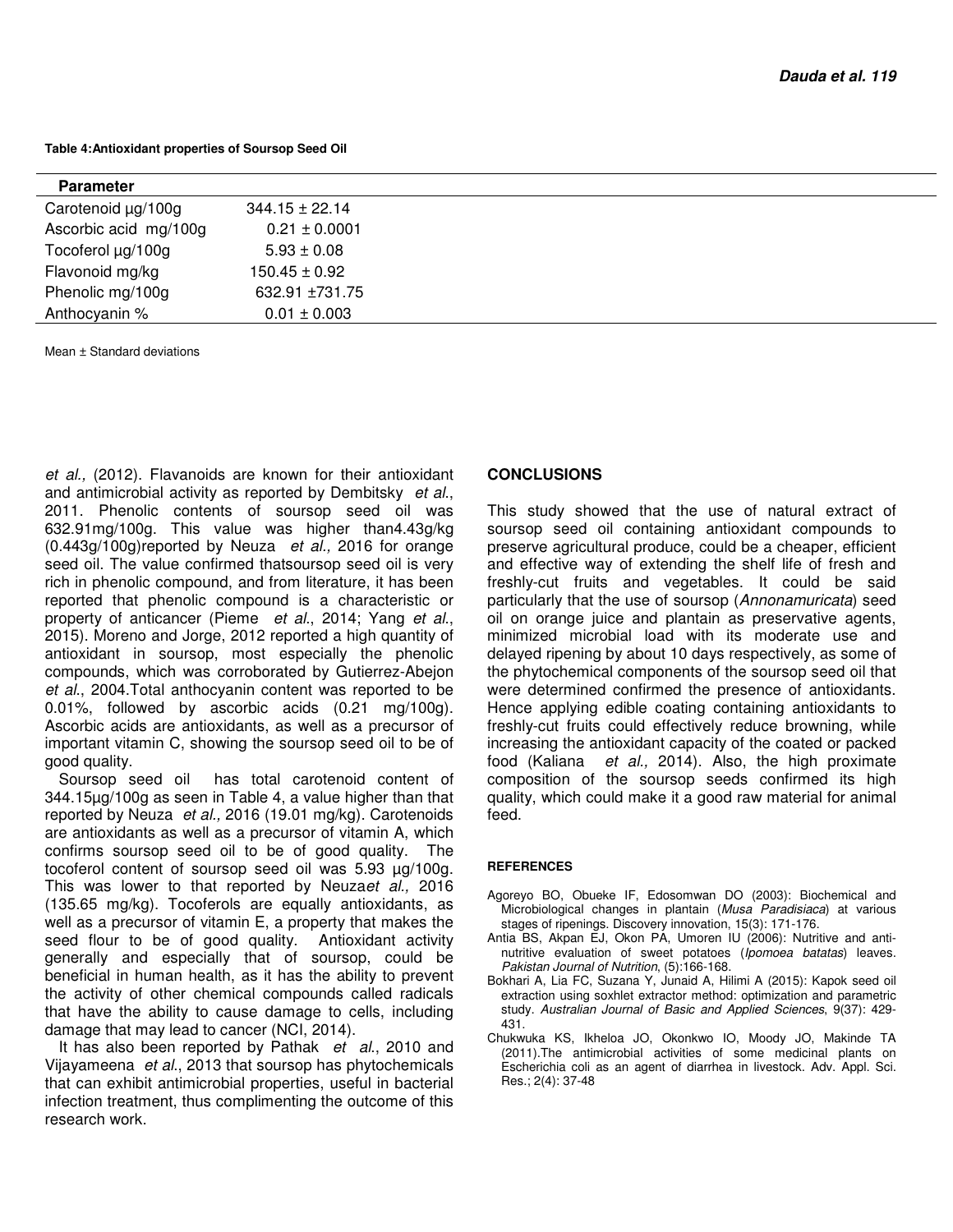**Table 4:Antioxidant properties of Soursop Seed Oil** 

| <b>Parameter</b>      |                    |
|-----------------------|--------------------|
| Carotenoid µg/100g    | $344.15 \pm 22.14$ |
| Ascorbic acid mg/100g | $0.21 \pm 0.0001$  |
| Tocoferol µg/100g     | $5.93 \pm 0.08$    |
| Flavonoid mg/kg       | $150.45 \pm 0.92$  |
| Phenolic mg/100g      | 632.91 ±731.75     |
| Anthocyanin %         | $0.01 \pm 0.003$   |
|                       |                    |

Mean ± Standard deviations

et al., (2012). Flavanoids are known for their antioxidant and antimicrobial activity as reported by Dembitsky et al., 2011. Phenolic contents of soursop seed oil was 632.91mg/100g. This value was higher than4.43g/kg (0.443g/100g)reported by Neuza et al., 2016 for orange seed oil. The value confirmed thatsoursop seed oil is very rich in phenolic compound, and from literature, it has been reported that phenolic compound is a characteristic or property of anticancer (Pieme et al., 2014; Yang et al., 2015). Moreno and Jorge, 2012 reported a high quantity of antioxidant in soursop, most especially the phenolic compounds, which was corroborated by Gutierrez-Abejon et al., 2004.Total anthocyanin content was reported to be 0.01%, followed by ascorbic acids (0.21 mg/100g). Ascorbic acids are antioxidants, as well as a precursor of important vitamin C, showing the soursop seed oil to be of good quality.

Soursop seed oil has total carotenoid content of 344.15µg/100g as seen in Table 4, a value higher than that reported by Neuza et al., 2016 (19.01 mg/kg). Carotenoids are antioxidants as well as a precursor of vitamin A, which confirms soursop seed oil to be of good quality. The tocoferol content of soursop seed oil was 5.93 µg/100g. This was lower to that reported by Neuzaet al., 2016 (135.65 mg/kg). Tocoferols are equally antioxidants, as well as a precursor of vitamin E, a property that makes the seed flour to be of good quality. Antioxidant activity generally and especially that of soursop, could be beneficial in human health, as it has the ability to prevent the activity of other chemical compounds called radicals that have the ability to cause damage to cells, including damage that may lead to cancer (NCI, 2014).

It has also been reported by Pathak et al., 2010 and Vijayameena et al., 2013 that soursop has phytochemicals that can exhibit antimicrobial properties, useful in bacterial infection treatment, thus complimenting the outcome of this research work.

#### **CONCLUSIONS**

This study showed that the use of natural extract of soursop seed oil containing antioxidant compounds to preserve agricultural produce, could be a cheaper, efficient and effective way of extending the shelf life of fresh and freshly-cut fruits and vegetables. It could be said particularly that the use of soursop (Annonamuricata) seed oil on orange juice and plantain as preservative agents, minimized microbial load with its moderate use and delayed ripening by about 10 days respectively, as some of the phytochemical components of the soursop seed oil that were determined confirmed the presence of antioxidants. Hence applying edible coating containing antioxidants to freshly-cut fruits could effectively reduce browning, while increasing the antioxidant capacity of the coated or packed food (Kaliana et al., 2014). Also, the high proximate composition of the soursop seeds confirmed its high quality, which could make it a good raw material for animal feed.

#### **REFERENCES**

- Agoreyo BO, Obueke IF, Edosomwan DO (2003): Biochemical and Microbiological changes in plantain (Musa Paradisiaca) at various stages of ripenings. Discovery innovation, 15(3): 171-176.
- Antia BS, Akpan EJ, Okon PA, Umoren IU (2006): Nutritive and antinutritive evaluation of sweet potatoes (Ipomoea batatas) leaves. Pakistan Journal of Nutrition, (5):166-168.
- Bokhari A, Lia FC, Suzana Y, Junaid A, Hilimi A (2015): Kapok seed oil extraction using soxhlet extractor method: optimization and parametric study. Australian Journal of Basic and Applied Sciences, 9(37): 429- 431.
- Chukwuka KS, Ikheloa JO, Okonkwo IO, Moody JO, Makinde TA (2011).The antimicrobial activities of some medicinal plants on Escherichia coli as an agent of diarrhea in livestock. Adv. Appl. Sci. Res.; 2(4): 37-48